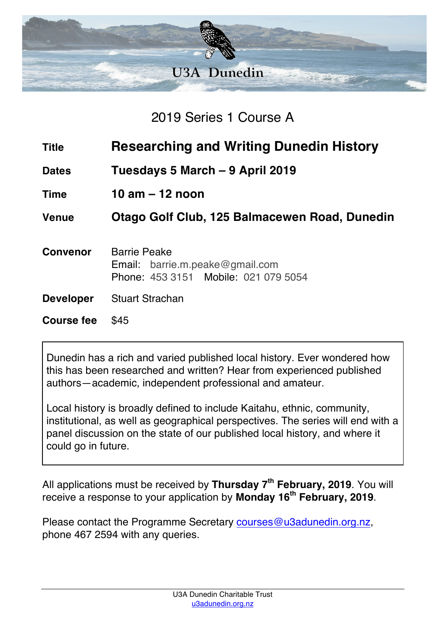

2019 Series 1 Course A

- **Title Researching and Writing Dunedin History**
- **Dates Tuesdays 5 March – 9 April 2019**
- **Time 10 am – 12 noon**

**Venue Otago Golf Club, 125 Balmacewen Road, Dunedin**

- **Convenor** Barrie Peake Email: barrie.m.peake@gmail.com Phone: 453 3151 Mobile: 021 079 5054
- **Developer** Stuart Strachan

**Course fee** \$45

Dunedin has a rich and varied published local history. Ever wondered how this has been researched and written? Hear from experienced published authors—academic, independent professional and amateur.

Local history is broadly defined to include Kaitahu, ethnic, community, institutional, as well as geographical perspectives. The series will end with a panel discussion on the state of our published local history, and where it could go in future.

All applications must be received by **Thursday 7th February, 2019**. You will receive a response to your application by **Monday 16th February, 2019**.

Please contact the Programme Secretary courses@u3adunedin.org.nz, phone 467 2594 with any queries.